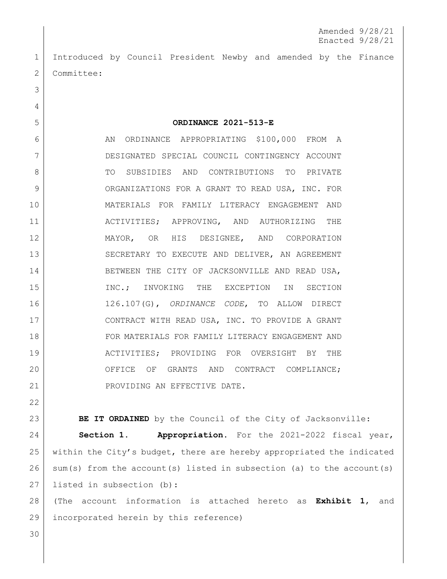1 Introduced by Council President Newby and amended by the Finance 2 Committee:

5 **ORDINANCE 2021-513-E**

6 AN ORDINANCE APPROPRIATING \$100,000 FROM A 7 DESIGNATED SPECIAL COUNCIL CONTINGENCY ACCOUNT 8 TO SUBSIDIES AND CONTRIBUTIONS TO PRIVATE 9 ORGANIZATIONS FOR A GRANT TO READ USA, INC. FOR 10 MATERIALS FOR FAMILY LITERACY ENGAGEMENT AND 11 ACTIVITIES; APPROVING, AND AUTHORIZING THE 12 MAYOR, OR HIS DESIGNEE, AND CORPORATION 13 SECRETARY TO EXECUTE AND DELIVER, AN AGREEMENT 14 BETWEEN THE CITY OF JACKSONVILLE AND READ USA, 15 INC.; INVOKING THE EXCEPTION IN SECTION 16 126.107(G), *ORDINANCE CODE*, TO ALLOW DIRECT 17 CONTRACT WITH READ USA, INC. TO PROVIDE A GRANT 18 | FOR MATERIALS FOR FAMILY LITERACY ENGAGEMENT AND 19 | ACTIVITIES; PROVIDING FOR OVERSIGHT BY THE 20 OFFICE OF GRANTS AND CONTRACT COMPLIANCE; 21 | PROVIDING AN EFFECTIVE DATE.

23 **BE IT ORDAINED** by the Council of the City of Jacksonville:

 **Section 1. Appropriation.** For the 2021-2022 fiscal year, within the City's budget, there are hereby appropriated the indicated sum(s) from the account(s) listed in subsection (a) to the account(s) 27 | listed in subsection (b):

28 (The account information is attached hereto as **Exhibit 1**, and 29 incorporated herein by this reference)

30

22

3

4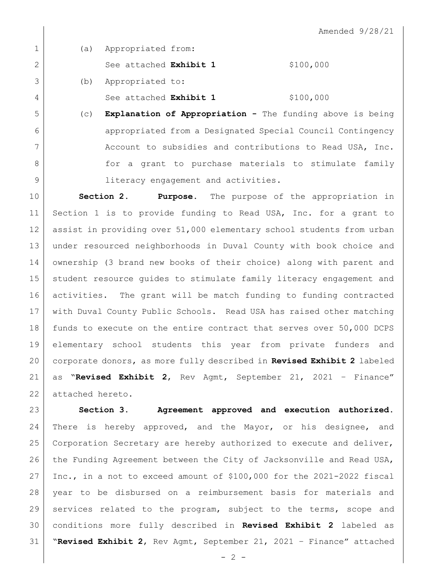| $\mathbf 1$    | (a) | Appropriated from:                                         |           |
|----------------|-----|------------------------------------------------------------|-----------|
| 2              |     | See attached Exhibit 1                                     | \$100,000 |
| 3              | (b) | Appropriated to:                                           |           |
| $\overline{4}$ |     | See attached Exhibit 1                                     | \$100,000 |
| 5              | (C) | Explanation of Appropriation - The funding above is being  |           |
| 6              |     | appropriated from a Designated Special Council Contingency |           |
| 7              |     | Account to subsidies and contributions to Read USA, Inc.   |           |
| 8              |     | for a grant to purchase materials to stimulate family      |           |

9 | literacy engagement and activities.

 **Section 2. Purpose.** The purpose of the appropriation in Section 1 is to provide funding to Read USA, Inc. for a grant to assist in providing over 51,000 elementary school students from urban under resourced neighborhoods in Duval County with book choice and ownership (3 brand new books of their choice) along with parent and student resource guides to stimulate family literacy engagement and activities. The grant will be match funding to funding contracted with Duval County Public Schools. Read USA has raised other matching funds to execute on the entire contract that serves over 50,000 DCPS elementary school students this year from private funders and corporate donors, as more fully described in **Revised Exhibit 2** labeled as "**Revised Exhibit 2**, Rev Agmt, September 21, 2021 – Finance" 22 attached hereto.

 **Section 3. Agreement approved and execution authorized.** There is hereby approved, and the Mayor, or his designee, and 25 Corporation Secretary are hereby authorized to execute and deliver, 26 the Funding Agreement between the City of Jacksonville and Read USA, Inc., in a not to exceed amount of \$100,000 for the 2021-2022 fiscal year to be disbursed on a reimbursement basis for materials and services related to the program, subject to the terms, scope and conditions more fully described in **Revised Exhibit 2** labeled as "**Revised Exhibit 2**, Rev Agmt, September 21, 2021 – Finance" attached